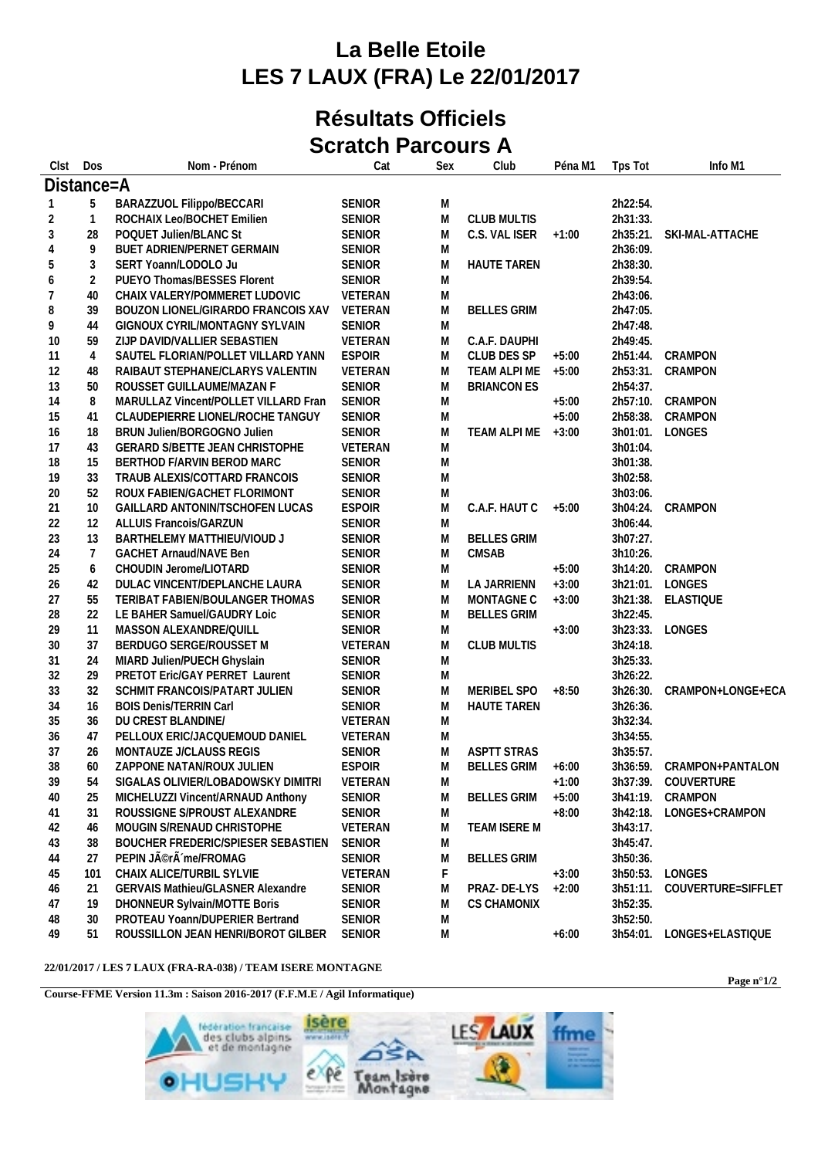## **La Belle Etoile LES 7 LAUX (FRA) Le 22/01/2017**

## **Résultats Officiels Scratch Parcours A**

| Clst           | Dos            | Nom - Prénom                             | Cat           | Sex       | Club               | Péna M1 | Tps Tot  | Info M1             |
|----------------|----------------|------------------------------------------|---------------|-----------|--------------------|---------|----------|---------------------|
| Distance=A     |                |                                          |               |           |                    |         |          |                     |
| -1             | 5              | BARAZZUOL Filippo/BECCARI                | SENIOR        | M         |                    |         | 2h22:54. |                     |
| 2              | $\overline{1}$ | ROCHAIX Leo/BOCHET Emilien               | SENIOR        | M         | <b>CLUB MULTIS</b> |         | 2h31:33. |                     |
| $\sqrt{3}$     | 28             | POQUET Julien/BLANC St                   | <b>SENIOR</b> | M         | C.S. VAL ISER      | $+1:00$ | 2h35:21. | SKI-MAL-ATTACHE     |
| $\overline{4}$ | 9              | BUET ADRIEN/PERNET GERMAIN               | SENIOR        | M         |                    |         | 2h36:09. |                     |
| 5              | 3              | SERT Yoann/LODOLO Ju                     | SENIOR        | M         | <b>HAUTE TAREN</b> |         | 2h38:30. |                     |
| 6              | $\overline{2}$ | PUEYO Thomas/BESSES Florent              | SENIOR        | M         |                    |         | 2h39:54. |                     |
| 7              | 40             | CHAIX VALERY/POMMERET LUDOVIC            | VETERAN       | M         |                    |         | 2h43:06. |                     |
| 8              | 39             | BOUZON LIONEL/GIRARDO FRANCOIS XAV       | VETERAN       | ${\sf M}$ | <b>BELLES GRIM</b> |         | 2h47:05. |                     |
| 9              | 44             | GIGNOUX CYRIL/MONTAGNY SYLVAIN           | SENIOR        | M         |                    |         | 2h47:48. |                     |
| 10             | 59             | ZIJP DAVID/VALLIER SEBASTIEN             | VETERAN       | M         | C.A.F. DAUPHI      |         | 2h49:45. |                     |
| 11             | $\overline{4}$ | SAUTEL FLORIAN/POLLET VILLARD YANN       | <b>ESPOIR</b> | M         | CLUB DES SP        | $+5:00$ | 2h51:44. | CRAMPON             |
| 12             | 48             | RAIBAUT STEPHANE/CLARYS VALENTIN         | VETERAN       | M         | TEAM ALPI ME       | $+5:00$ | 2h53:31. | CRAMPON             |
| 13             | 50             | ROUSSET GUILLAUME/MAZAN F                | <b>SENIOR</b> | M         | <b>BRIANCON ES</b> |         | 2h54:37. |                     |
| 14             | 8              | MARULLAZ Vincent/POLLET VILLARD Fran     | SENIOR        | M         |                    | $+5:00$ | 2h57:10. | CRAMPON             |
| 15             | 41             | CLAUDEPIERRE LIONEL/ROCHE TANGUY         | SENIOR        | M         |                    | $+5:00$ | 2h58:38. | CRAMPON             |
| 16             | 18             | BRUN Julien/BORGOGNO Julien              | SENIOR        | M         | TEAM ALPI ME       | $+3:00$ | 3h01:01. | LONGES              |
| 17             | 43             | GERARD S/BETTE JEAN CHRISTOPHE           | VETERAN       | M         |                    |         | 3h01:04. |                     |
| 18             | 15             | BERTHOD F/ARVIN BEROD MARC               | SENIOR        | M         |                    |         | 3h01:38. |                     |
| 19             | 33             | TRAUB ALEXIS/COTTARD FRANCOIS            | SENIOR        | M         |                    |         | 3h02:58. |                     |
| 20             | 52             | ROUX FABIEN/GACHET FLORIMONT             | SENIOR        | M         |                    |         | 3h03:06. |                     |
| 21             | 10             | GAILLARD ANTONIN/TSCHOFEN LUCAS          | <b>ESPOIR</b> | M         | C.A.F. HAUT C      | $+5:00$ | 3h04:24. | CRAMPON             |
| 22             | 12             | <b>ALLUIS Francois/GARZUN</b>            | SENIOR        | M         |                    |         | 3h06:44. |                     |
| 23             | 13             | BARTHELEMY MATTHIEU/VIOUD J              | SENIOR        | M         | <b>BELLES GRIM</b> |         | 3h07:27. |                     |
| 24             | $\overline{7}$ | <b>GACHET Arnaud/NAVE Ben</b>            | SENIOR        | M         | <b>CMSAB</b>       |         | 3h10:26. |                     |
| 25             | 6              | CHOUDIN Jerome/LIOTARD                   | SENIOR        | M         |                    | $+5:00$ | 3h14:20. | CRAMPON             |
| 26             | 42             | DULAC VINCENT/DEPLANCHE LAURA            | SENIOR        | M         | LA JARRIENN        | $+3:00$ | 3h21:01. | LONGES              |
| 27             | 55             | TERIBAT FABIEN/BOULANGER THOMAS          | SENIOR        | M         | MONTAGNE C         | $+3:00$ |          | 3h21:38. ELASTIQUE  |
| 28             | 22             | LE BAHER Samuel/GAUDRY Loic              | SENIOR        | M         | <b>BELLES GRIM</b> |         | 3h22:45. |                     |
| 29             | 11             | MASSON ALEXANDRE/QUILL                   | SENIOR        | M         |                    | $+3:00$ | 3h23:33. | LONGES              |
| 30             | 37             | BERDUGO SERGE/ROUSSET M                  | VETERAN       | M         | <b>CLUB MULTIS</b> |         | 3h24:18. |                     |
| 31             | 24             | MIARD Julien/PUECH Ghyslain              | SENIOR        | M         |                    |         | 3h25:33. |                     |
| 32             | 29             | PRETOT Eric/GAY PERRET Laurent           | SENIOR        | M         |                    |         | 3h26:22. |                     |
| 33             | 32             | SCHMIT FRANCOIS/PATART JULIEN            | SENIOR        | M         | MERIBEL SPO        | $+8:50$ | 3h26:30. | CRAMPON+LONGE+ECA   |
| 34             | 16             | <b>BOIS Denis/TERRIN Carl</b>            | SENIOR        | M         | <b>HAUTE TAREN</b> |         | 3h26:36. |                     |
| 35             | 36             | DU CREST BLANDINE/                       | VETERAN       | M         |                    |         | 3h32:34. |                     |
| 36             | 47             | PELLOUX ERIC/JACQUEMOUD DANIEL           | VETERAN       | M         |                    |         | 3h34:55. |                     |
| 37             | 26             | MONTAUZE J/CLAUSS REGIS                  | SENIOR        | M         | <b>ASPTT STRAS</b> |         | 3h35:57. |                     |
| 38             | 60             | ZAPPONE NATAN/ROUX JULIEN                | <b>ESPOIR</b> | M         | <b>BELLES GRIM</b> | $+6:00$ | 3h36:59. | CRAMPON+PANTALON    |
| 39             | 54             | SIGALAS OLIVIER/LOBADOWSKY DIMITRI       | VETERAN       | M         |                    | $+1:00$ |          | 3h37:39. COUVERTURE |
| 40             | 25             | MICHELUZZI Vincent/ARNAUD Anthony        | SENIOR        | M         | <b>BELLES GRIM</b> | $+5:00$ | 3h41:19. | CRAMPON             |
| 41             | 31             | ROUSSIGNE S/PROUST ALEXANDRE             | SENIOR        | M         |                    | $+8:00$ | 3h42:18. | LONGES+CRAMPON      |
| 42             | 46             | MOUGIN S/RENAUD CHRISTOPHE               | VETERAN       | M         | TEAM ISERE M       |         | 3h43:17. |                     |
| 43             | 38             | BOUCHER FREDERIC/SPIESER SEBASTIEN       | SENIOR        | M         |                    |         | 3h45:47. |                     |
| 44             | 27             | PEPIN Jîrà me/FROMAG                     | SENIOR        | M         | <b>BELLES GRIM</b> |         | 3h50:36. |                     |
| 45             | 101            | CHAIX ALICE/TURBIL SYLVIE                | VETERAN       | F         |                    | $+3:00$ | 3h50:53. | LONGES              |
| 46             | 21             | <b>GERVAIS Mathieu/GLASNER Alexandre</b> | <b>SENIOR</b> | M         | PRAZ-DE-LYS        | $+2:00$ | 3h51:11. | COUVERTURE=SIFFLET  |
| 47             | 19             | DHONNEUR Sylvain/MOTTE Boris             | SENIOR        | M         | <b>CS CHAMONIX</b> |         | 3h52:35. |                     |
| 48             | 30             | PROTEAU Yoann/DUPERIER Bertrand          | SENIOR        | M         |                    |         | 3h52:50. |                     |
| 49             | 51             | ROUSSILLON JEAN HENRI/BOROT GILBER       | SENIOR        | M         |                    | $+6:00$ | 3h54:01. | LONGES+ELASTIQUE    |
|                |                |                                          |               |           |                    |         |          |                     |

## **22/01/2017 / LES 7 LAUX (FRA-RA-038) / TEAM ISERE MONTAGNE**

**Course-FFME Version 11.3m : Saison 2016-2017 (F.F.M.E / Agil Informatique)**



**Page n°1/2**